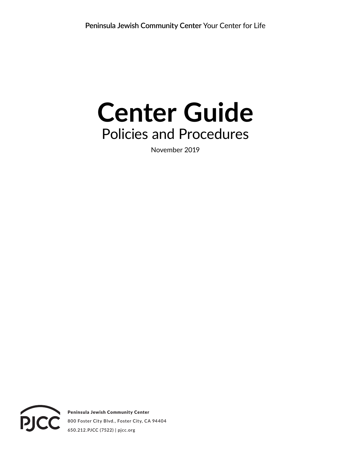# **Center Guide** Policies and Procedures

November 2019



Peninsula Jewish Community Center **800 Foster City Blvd., Foster City, CA 94404 650.212.PJCC (7522) | pjcc.org**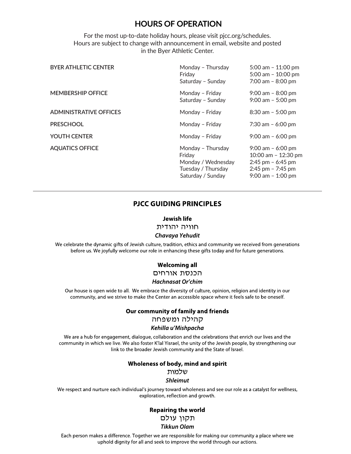# **HOURS OF OPERATION**

For the most up-to-date holiday hours, please visit pjcc.org/schedules. Hours are subject to change with announcement in email, website and posted in the Byer Athletic Center.

| <b>BYER ATHLETIC CENTER</b>   | Monday - Thursday<br>Friday<br>Saturday - Sunday                                             | $5:00$ am $-11:00$ pm<br>5:00 am $-$ 10:00 pm<br>$7:00$ am $-8:00$ pm                                              |
|-------------------------------|----------------------------------------------------------------------------------------------|--------------------------------------------------------------------------------------------------------------------|
| <b>MEMBERSHIP OFFICE</b>      | Monday - Friday<br>Saturday - Sunday                                                         | $9:00$ am $-8:00$ pm<br>$9:00$ am $-5:00$ pm                                                                       |
| <b>ADMINISTRATIVE OFFICES</b> | Monday - Friday                                                                              | $8:30$ am $-5:00$ pm                                                                                               |
| <b>PRESCHOOL</b>              | Monday - Friday                                                                              | 7:30 am $-$ 6:00 pm                                                                                                |
| YOUTH CENTER                  | Monday - Friday                                                                              | $9:00$ am $-6:00$ pm                                                                                               |
| <b>AQUATICS OFFICE</b>        | Monday - Thursday<br>Friday<br>Monday / Wednesday<br>Tuesday / Thursday<br>Saturday / Sunday | $9:00$ am $-6:00$ pm<br>10:00 am - 12:30 pm<br>2:45 pm $-$ 6:45 pm<br>$2:45$ pm $-7:45$ pm<br>$9:00$ am $-1:00$ pm |

# **PJCC GUIDING PRINCIPLES**

#### **Jewish life**

חוויה יהודית

#### Chavaya Yehudit

We celebrate the dynamic gifts of Jewish culture, tradition, ethics and community we received from generations before us. We joyfully welcome our role in enhancing these gifts today and for future generations.

# **Welcoming all**

# הכנסת אורחים

#### **Hachnasat Or'chim**

Our house is open wide to all. We embrace the diversity of culture, opinion, religion and identity in our community, and we strive to make the Center an accessible space where it feels safe to be oneself.

#### Our community of family and friends

קהילה ומשפחה

#### Kehilla u'Mishpacha

We are a hub for engagement, dialogue, collaboration and the celebrations that enrich our lives and the community in which we live. We also foster K'lal Yisrael, the unity of the Jewish people, by strengthening our link to the broader Jewish community and the State of Israel.

#### Wholeness of body, mind and spirit

שלמות

#### **Shleimut**

We respect and nurture each individual's journey toward wholeness and see our role as a catalyst for wellness, exploration, reflection and growth.

> **Repairing the world** תקון עולם **Tikkun Olam**

Each person makes a difference. Together we are responsible for making our community a place where we uphold dignity for all and seek to improve the world through our actions.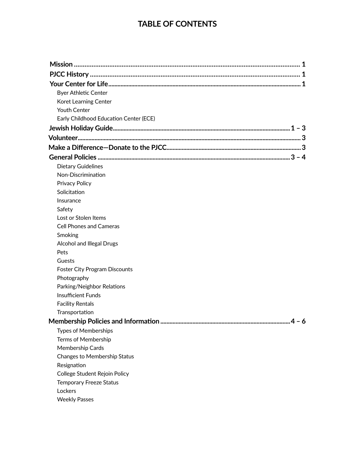# **TABLE OF CONTENTS**

| <b>Byer Athletic Center</b>                                     |
|-----------------------------------------------------------------|
| Koret Learning Center                                           |
| <b>Youth Center</b>                                             |
| Early Childhood Education Center (ECE)                          |
|                                                                 |
|                                                                 |
|                                                                 |
|                                                                 |
| <b>Dietary Guidelines</b>                                       |
| Non-Discrimination                                              |
| Privacy Policy                                                  |
| Solicitation                                                    |
| Insurance                                                       |
| Safety                                                          |
| Lost or Stolen Items                                            |
| <b>Cell Phones and Cameras</b>                                  |
| Smoking                                                         |
| <b>Alcohol and Illegal Drugs</b>                                |
| Pets                                                            |
| Guests                                                          |
| <b>Foster City Program Discounts</b>                            |
| Photography                                                     |
| Parking/Neighbor Relations                                      |
| <b>Insufficient Funds</b>                                       |
| <b>Facility Rentals</b>                                         |
| Transportation                                                  |
|                                                                 |
| <b>Types of Memberships</b>                                     |
| <b>Terms of Membership</b>                                      |
| Membership Cards                                                |
| Changes to Membership Status                                    |
| Resignation                                                     |
| College Student Rejoin Policy<br><b>Temporary Freeze Status</b> |
| Lockers                                                         |
| <b>Weekly Passes</b>                                            |
|                                                                 |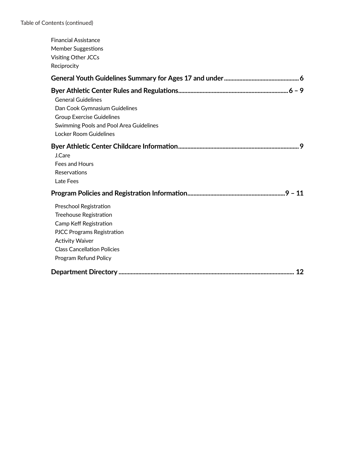| <b>Financial Assistance</b><br><b>Member Suggestions</b><br>Visiting Other JCCs<br>Reciprocity                                                                                                                  |
|-----------------------------------------------------------------------------------------------------------------------------------------------------------------------------------------------------------------|
|                                                                                                                                                                                                                 |
| <b>General Guidelines</b><br>Dan Cook Gymnasium Guidelines<br><b>Group Exercise Guidelines</b><br>Swimming Pools and Pool Area Guidelines<br><b>Locker Room Guidelines</b>                                      |
| J.Care<br>Fees and Hours<br>Reservations<br>Late Fees                                                                                                                                                           |
|                                                                                                                                                                                                                 |
| Preschool Registration<br><b>Treehouse Registration</b><br>Camp Keff Registration<br><b>PJCC Programs Registration</b><br><b>Activity Waiver</b><br><b>Class Cancellation Policies</b><br>Program Refund Policy |
|                                                                                                                                                                                                                 |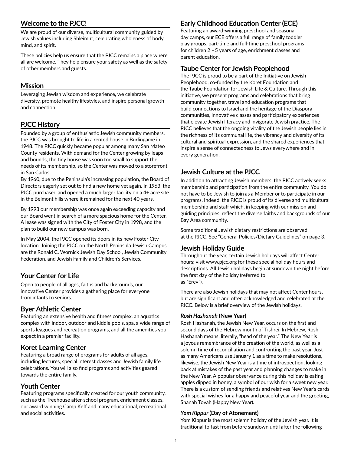# **Welcome to the PJCC!**

We are proud of our diverse, multicultural community guided by Jewish values including Shleimut, celebrating wholeness of body, mind, and spirit.

These policies help us ensure that the PJCC remains a place where all are welcome. They help ensure your safety as well as the safety of other members and guests.

# **Mission**

Leveraging Jewish wisdom and experience, we celebrate diversity, promote healthy lifestyles, and inspire personal growth and connection.

# **PJCC History**

Founded by a group of enthusiastic Jewish community members, the PJCC was brought to life in a rented house in Burlingame in 1948. The PJCC quickly became popular among many San Mateo County residents. With demand for the Center growing by leaps and bounds, the tiny house was soon too small to support the needs of its membership, so the Center was moved to a storefront in San Carlos.

By 1960, due to the Peninsula's increasing population, the Board of Directors eagerly set out to find a new home yet again. In 1963, the PJCC purchased and opened a much larger facility on a 4+ acre site in the Belmont hills where it remained for the next 40 years.

By 1993 our membership was once again exceeding capacity and our Board went in search of a more spacious home for the Center. A lease was signed with the City of Foster City in 1998, and the plan to build our new campus was born.

In May 2004, the PJCC opened its doors in its new Foster City location. Joining the PJCC on the North Peninsula Jewish Campus are the Ronald C. Wornick Jewish Day School, Jewish Community Federation, and Jewish Family and Children's Services.

# **Your Center for Life**

Open to people of all ages, faiths and backgrounds, our innovative Center provides a gathering place for everyone from infants to seniors.

# **Byer Athletic Center**

Featuring an extensive health and fitness complex, an aquatics complex with indoor, outdoor and kiddie pools, spa, a wide range of sports leagues and recreation programs, and all the amenities you expect in a premier facility.

# **Koret Learning Center**

Featuring a broad range of programs for adults of all ages, including lectures, special interest classes and Jewish family life celebrations. You will also find programs and activities geared towards the entire family.

# **Youth Center**

Featuring programs specifically created for our youth community, such as the Treehouse after-school program, enrichment classes, our award winning Camp Keff and many educational, recreational and social activities.

# **Early Childhood Education Center (ECE)**

Featuring an award-winning preschool and seasonal day camps, our ECE offers a full range of family toddler play groups, part-time and full-time preschool programs for children 2 – 5 years of age, enrichment classes and parent education.

# **Taube Center for Jewish Peoplehood**

The PJCC is proud to be a part of the Initiative on Jewish Peoplehood, co-funded by the Koret Foundation and the Taube Foundation for Jewish Life & Culture. Through this initiative, we present programs and celebrations that bring community together, travel and education programs that build connections to Israel and the heritage of the Diaspora communities, innovative classes and participatory experiences that elevate Jewish literacy and invigorate Jewish practice. The PJCC believes that the ongoing vitality of the Jewish people lies in the richness of its communal life, the vibrancy and diversity of its cultural and spiritual expression, and the shared experiences that inspire a sense of connectedness to Jews everywhere and in every generation.

# **Jewish Culture at the PJCC**

In addition to attracting Jewish members, the PJCC actively seeks membership and participation from the entire community. You do not have to be Jewish to join as a Member or to participate in our programs. Indeed, the PJCC is proud of its diverse and multicultural membership and staff which, in keeping with our mission and guiding principles, reflect the diverse faiths and backgrounds of our Bay Area community.

Some traditional Jewish dietary restrictions are observed at the PJCC. See "General Policies/Dietary Guidelines" on page 3.

# **Jewish Holiday Guide**

Throughout the year, certain Jewish holidays will affect Center hours; visit www.pjcc.org for these special holiday hours and descriptions. All Jewish holidays begin at sundown the night before the first day of the holiday (referred to as "Erev").

There are also Jewish holidays that may not affect Center hours, but are significant and often acknowledged and celebrated at the PJCC. Below is a brief overview of the Jewish holidays.

# *Rosh Hashanah* **(New Year)**

Rosh Hashanah, the Jewish New Year, occurs on the first and second days of the Hebrew month of Tishrei. In Hebrew, Rosh Hashanah means, literally, "head of the year." The New Year is a joyous remembrance of the creation of the world, as well as a solemn time of reconciliation and confronting the past year. Just as many Americans use January 1 as a time to make resolutions, likewise, the Jewish New Year is a time of introspection, looking back at mistakes of the past year and planning changes to make in the New Year. A popular observance during this holiday is eating apples dipped in honey, a symbol of our wish for a sweet new year. There is a custom of sending friends and relatives New Year's cards with special wishes for a happy and peaceful year and the greeting, Shanah Tovah (Happy New Year).

#### *Yom Kippur* **(Day of Atonement)**

Yom Kippur is the most solemn holiday of the Jewish year. It is traditional to fast from before sundown until after the following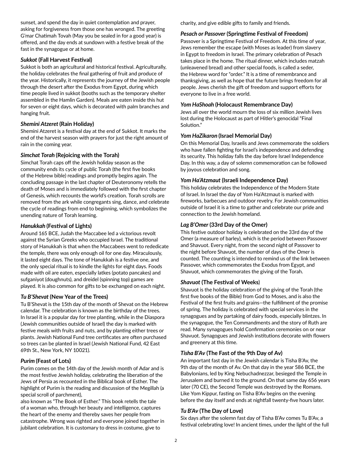sunset, and spend the day in quiet contemplation and prayer, asking for forgiveness from those one has wronged. The greeting G'mar Chatimah Tovah (May you be sealed in for a good year) is offered, and the day ends at sundown with a festive break of the fast in the synagogue or at home.

## *Sukkot* **(Fall Harvest Festival)**

Sukkot is both an agricultural and historical festival. Agriculturally, the holiday celebrates the final gathering of fruit and produce of the year. Historically, it represents the journey of the Jewish people through the desert after the Exodus from Egypt, during which time people lived in sukkot (booths such as the temporary shelter assembled in the Hamlin Garden). Meals are eaten inside this hut for seven or eight days, which is decorated with palm branches and hanging fruit.

### *Shemini Atzeret* **(Rain Holiday)**

Shemini Atzeret is a festival day at the end of Sukkot. It marks the end of the harvest season with prayers for just the right amount of rain in the coming year.

### *Simchat Torah* **(Rejoicing with the Torah)**

Simchat Torah caps off the Jewish holiday season as the community ends its cycle of public Torah (the first five books of the Hebrew bible) readings and promptly begins again. The concluding passage in the last chapter of Deuteronomy retells the death of Moses and is immediately followed with the first chapter of Genesis, which recounts the world's creation. Torah scrolls are removed from the ark while congregants sing, dance, and celebrate the cycle of readings from end to beginning, which symbolizes the unending nature of Torah learning.

### *Hanukkah* **(Festival of Lights)**

Around 165 BCE, Judah the Maccabee led a victorious revolt against the Syrian Greeks who occupied Israel. The traditional story of Hanukkah is that when the Maccabees went to rededicate the temple, there was only enough oil for one day. Miraculously, it lasted eight days. The tone of Hanukkah is a festive one, and the only special ritual is to kindle the lights for eight days. Foods made with oil are eaten, especially latkes (potato pancakes) and sufganiyot (doughnuts), and dreidel (spinning top) games are played. It is also common for gifts to be exchanged on each night.

# *Tu B'Shevat* **(New Year of the Trees)**

Tu B'Shevat is the 15th day of the month of Shevat on the Hebrew calendar. The celebration is known as the birthday of the trees. In Israel it is a popular day for tree planting, while in the Diaspora (Jewish communities outside of Israel) the day is marked with festive meals with fruits and nuts, and by planting either trees or plants. Jewish National Fund tree certificates are often purchased so trees can be planted in Israel (Jewish National Fund, 42 East 69th St., New York, NY 10021).

#### *Purim* **(Feast of Lots)**

Purim comes on the 14th day of the Jewish month of Adar and is the most festive Jewish holiday, celebrating the liberation of the Jews of Persia as recounted in the Biblical book of Esther. The highlight of Purim is the reading and discussion of the Megillah (a special scroll of parchment),

also known as "The Book of Esther." This book retells the tale of a woman who, through her beauty and intelligence, captures the heart of the enemy and thereby saves her people from catastrophe. Wrong was righted and everyone joined together in jubilant celebration. It is customary to dress in costume, give to

charity, and give edible gifts to family and friends.

#### *Pesach or Passover* **(Springtime Festival of Freedom)**

Passover is a Springtime Festival of Freedom. At this time of year, Jews remember the escape (with Moses as leader) from slavery in Egypt to freedom in Israel. The primary celebration of Pesach takes place in the home. The ritual dinner, which includes matzah (unleavened bread) and other special foods, is called a seder, the Hebrew word for "order." It is a time of remembrance and thanksgiving, as well as hope that the future brings freedom for all people. Jews cherish the gift of freedom and support efforts for everyone to live in a free world.

#### *Yom HaShoah* **(Holocaust Remembrance Day)**

Jews all over the world mourn the loss of six million Jewish lives lost during the Holocaust as part of Hitler's genocidal "Final Solution."

### *Yom HaZikaron* **(Israel Memorial Day)**

On this Memorial Day, Israelis and Jews commemorate the soldiers who have fallen fighting for Israel's independence and defending its security. This holiday falls the day before Israel Independence Day. In this way, a day of solemn commemoration can be followed by joyous celebration and song.

### *Yom Ha'Atzmaut* **(Israeli Independence Day)**

This holiday celebrates the Independence of the Modern State of Israel. In Israel the day of Yom Ha'Atzmaut is marked with fireworks, barbecues and outdoor revelry. For Jewish communities outside of Israel it is a time to gather and celebrate our pride and connection to the Jewish homeland.

# *Lag B'Omer* **(33rd Day of the Omer)**

This festive outdoor holiday is celebrated on the 33rd day of the Omer (a measure of barley), which is the period between Passover and Shavuot. Every night, from the second night of Passover to the night before Shavuot, the number of days of the Omer is counted. The counting is intended to remind us of the link between Passover, which commemorates the Exodus from Egypt, and Shavuot, which commemorates the giving of the Torah.

#### *Shavuot* **(The Festival of Weeks**)

Shavuot is the holiday celebration of the giving of the Torah (the first five books of the Bible) from God to Moses, and is also the Festival of the first fruits and grains—the fulfillment of the promise of spring. The holiday is celebrated with special services in the synagogues and by partaking of dairy foods, especially blintzes. In the synagogue, the Ten Commandments and the story of Ruth are read. Many synagogues hold Confirmation ceremonies on or near Shavuot. Synagogues and Jewish institutions decorate with flowers and greenery at this time.

# *Tisha B'Av* **(The Fast of the 9th Day of Av)**

An important fast day in the Jewish calendar is Tisha B'Av, the 9th day of the month of Av. On that day in the year 586 BCE, the Babylonians, led by King Nebuchadnezzar, besieged the Temple in Jerusalem and burned it to the ground. On that same day 656 years later (70 CE), the Second Temple was destroyed by the Romans. Like Yom Kippur, fasting on Tisha B'Av begins on the evening before the day itself and ends at nightfall twenty-five hours later.

#### *Tu B'Av* **(The Day of Love)**

Six days after the solemn fast day of Tisha B'Av comes Tu B'Av, a festival celebrating love! In ancient times, under the light of the full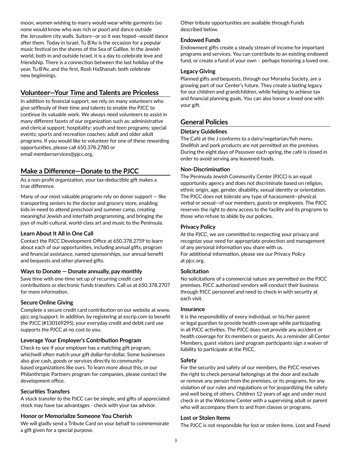moon, women wishing to marry would wear white garments (so none would know who was rich or poor) and dance outside the Jerusalem city walls. Suitors—or so it was hoped—would dance after them. Today in Israel, Tu B'Av is the occasion for a popular music festival on the shores of the Sea of Galilee. In the Jewish world, both in and outside Israel, it is a day to celebrate love and friendship. There is a connection between the last holiday of the year, Tu B'Av, and the first, Rosh HaShanah: both celebrate new beginnings.

# **Volunteer—Your Time and Talents are Priceless**

In addition to financial support, we rely on many volunteers who give selflessly of their time and talents to enable the PJCC to continue its valuable work. We always need volunteers to assist in many different facets of our organization such as: administrative and clerical support; hospitality; youth and teen programs; special events; sports and recreation coaches; adult and older adult programs. If you would like to volunteer for one of these rewarding opportunities, please call 650.378.2780 or email memberservices@pjcc.org.

# **Make a Difference—Donate to the PJCC**

As a non-profit organization, your tax-deductible gift makes a true difference.

Many of our most valuable programs rely on donor support — like transporting seniors to the doctor and grocery store, enabling kids-in-need to attend preschool and summer camp, creating meaningful Jewish and interfaith programming, and bringing the joys of multi-cultural, world-class art and music to the Peninsula.

# **Learn About It All in One Call**

Contact the PJCC Development Office at 650.378.2759 to learn about each of our opportunities, including annual gifts, program and financial assistance, named sponsorships, our annual benefit and bequests and other planned gifts.

# **Ways to Donate  —  Donate annually, pay monthly**

Save time with one-time set up of recurring credit card contributions or electronic funds transfers. Call us at 650.378.2707 for more information.

# **Secure Online Giving**

Complete a secure credit card contribution on our website at www. pjcc.org/support. In addition, by registering at escrip.com to benefit the PJCC (#130169295), your everyday credit and debit card use supports the PJCC at no cost to you.

# **Leverage Your Employer's Contribution Program**

Check to see if your employer has a matching gift program, whichwill often match your gift dollar-for-dollar. Some businesses also give cash, goods or services directly to communitybased organizations like ours. To learn more about this, or our Philanthropic Partners program for companies, please contact the development office.

# **Securities Transfers**

A stock transfer to the PJCC can be simple, and gifts of appreciated stock may have tax advantages - check with your tax advisor.

# **Honor or Memorialize Someone You Cherish**

We will gladly send a Tribute Card on your behalf to commemorate a gift given for a special purpose.

Other tribute opportunities are available through Funds described below.

## **Endowed Funds**

Endowment gifts create a steady stream of income for important programs and services. You can contribute to an existing endowed fund, or create a fund of your own – perhaps honoring a loved one.

#### **Legacy Giving**

Planned gifts and bequests, through our Morasha Society, are a growing part of our Center's future. They create a lasting legacy for our children and grandchildren, while helping to achieve tax and financial planning goals. You can also honor a loved one with your gift.

# **General Policies**

# **Dietary Guidelines**

The Café at the J conforms to a dairy/vegetarian/fish menu. Shellfish and pork products are not permitted on the premises. During the eight days of Passover each spring, the café is closed in order to avoid serving any leavened foods.

# **Non-Discrimination**

The Peninsula Jewish Community Center (PJCC) is an equal opportunity agency and does not discriminate based on religion, ethnic origin, age, gender, disability, sexual identity or orientation. The PJCC does not tolerate any type of harassment—physical, verbal or sexual—of our members, guests or employees. The PJCC reserves the right to deny access to the facility and its programs to those who refuse to abide by our policies.

## **Privacy Policy**

At the PJCC, we are committed to respecting your privacy and recognize your need for appropriate protection and management of any personal information you share with us. For additional information, please see our Privacy Policy at pjcc.org.

# **Solicitation**

No solicitations of a commercial nature are permitted on the PJCC premises. PJCC authorized vendors will conduct their business through PJCC personnel and need to check-in with security at each visit.

#### **Insurance**

It is the responsibility of every individual, or his/her parent or legal guardian to provide health coverage while participating in all PJCC activities. The PJCC does not provide any accident or health coverage for its members or guests. As a reminder all Center Members, guest visitors |and program participants sign a waiver of liability to participate at the PJCC.

#### **Safety**

For the security and safety of our members, the PJCC reserves the right to check personal belongings at the door and exclude or remove any person from the premises, or its programs, for any violation of our rules and regulations or for jeopardizing the safety and well being of others. Children 12 years of age and under must check in at the Welcome Center with a supervising adult or parent who will accompany them to and from classes or programs.

#### **Lost or Stolen Items**

The PJCC is not responsible for lost or stolen items. Lost and Found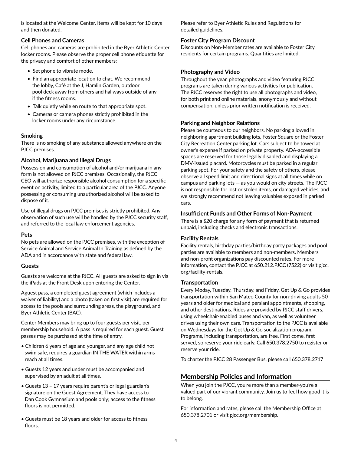is located at the Welcome Center. Items will be kept for 10 days and then donated.

### **Cell Phones and Cameras**

Cell phones and cameras are prohibited in the Byer Athletic Center locker rooms. Please observe the proper cell phone etiquette for the privacy and comfort of other members:

- Set phone to vibrate mode.
- Find an appropriate location to chat. We recommend the lobby, Café at the J, Hamlin Garden, outdoor pool deck away from others and hallways outside of any if the fitness rooms.
- Talk quietly while en route to that appropriate spot.
- Cameras or camera phones strictly prohibited in the locker rooms under any circumstance.

# **Smoking**

There is no smoking of any substance allowed anywhere on the PJCC premises.

# **Alcohol, Marijuana and Illegal Drugs**

Possession and consumption of alcohol and/or marijuana in any form is not allowed on PJCC premises. Occasionally, the PJCC CEO will authorize responsible alcohol consumption for a specific event on activity, limited to a particular area of the PJCC. Anyone possessing or consuming unauthorized alcohol will be asked to dispose of it.

Use of illegal drugs on PJCC premises is strictly prohibited. Any observation of such use will be handled by the PJCC security staff, and referred to the local law enforcement agencies.

# **Pets**

No pets are allowed on the PJCC premises, with the exception of Service Animal and Service Animal In Training as defined by the ADA and in accordance with state and federal law.

#### **Guests**

Guests are welcome at the PJCC. All guests are asked to sign in via the iPads at the Front Desk upon entering the Center.

Aguest pass, a completed guest agreement (which includes a waiver of liability) and a photo (taken on first visit) are required for access to the pools and surrounding areas, the playground, and Byer Athletic Center (BAC).

Center Members may bring up to four guests per visit, per membership household. A pass is required for each guest. Guest passes may be purchased at the time of entry.

- Children 6 years of age and younger, and any age child not swim safe, requires a guardian IN THE WATER within arms reach at all times.
- Guests 12 years and under must be accompanied and supervised by an adult at all times.
- Guests 13 17 years require parent's or legal guardian's signature on the Guest Agreement. They have access to Dan Cook Gymnasium and pools only; access to the fitness floors is not permitted.
- Guests must be 18 years and older for access to fitness floors.

Please refer to Byer Athletic Rules and Regulations for detailed guidelines.

# **Foster City Program Discount**

Discounts on Non-Member rates are available to Foster City residents for certain programs. Quantities are limited.

# **Photography and Video**

Throughout the year, photographs and video featuring PJCC programs are taken during various activities for publication. The PJCC reserves the right to use all photographs and video, for both print and online materials, anonymously and without compensation, unless prior written notification is received.

# **Parking and Neighbor Relations**

Please be courteous to our neighbors. No parking allowed in neighboring apartment building lots, Foster Square or the Foster City Recreation Center parking lot. Cars subject to be towed at owner's expense if parked on private property. ADA-accessible spaces are reserved for those legally disabled and displaying a DMV-issued placard. Motorcycles must be parked in a regular parking spot. For your safety and the safety of others, please observe all speed limit and directional signs at all times while on campus and parking lots — as you would on city streets. The PJCC is not responsible for lost or stolen items, or damaged vehicles, and we strongly recommend not leaving valuables exposed in parked cars.

# **Insufficient Funds and Other Forms of Non-Payment**

There is a \$20 charge for any form of payment that is returned unpaid, including checks and electronic transactions.

# **Facility Rentals**

Facility rentals, birthday parties/birthday party packages and pool parties are available to members and non-members. Members and non-profit organizations pay discounted rates. For more information, contact the PJCC at 650.212.PJCC (7522) or visit pjcc. org/facility-rentals.

# **Transportation**

Every Moday, Tuesday, Thursday, and Friday, Get Up & Go provides transportation within San Mateo County for non-driving adults 50 years and older for medical and persianl appointments, shopping, and other destinations. Rides are provided by PJCC staff drivers, using wheelchair-enabled buses and van, as well as volunteer drives using their own cars. Transportation to the PJCC is available on Wednesdays for the Get Up & Go socialization program. Programs, including transportation, are free. First come, first served, so reserve your ride early. Call 650.378.2750 to register or reserve your ride.

To charter the PJCC 28 Passenger Bus, please call 650.378.2717

# **Membership Policies and Information**

When you join the PJCC, you're more than a member-you're a valued part of our vibrant community. Join us to feel how good it is to belong.

For information and rates, please call the Membership Office at 650.378.2701 or visit pjcc.org/membership.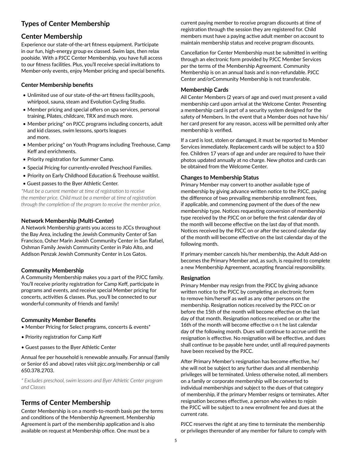# **Types of Center Membership**

# **Center Membership**

Experience our state-of-the-art fitness equipment. Participate in our fun, high-energy group ex classed. Swim laps, then relax poolside. With a PJCC Center Membership, you have full access to our fitness facilities. Plus, you'll receive special invitations to Member-only events, enjoy Member pricing and special benefits.

#### **Center Membership benefits**

- Unlimited use of our state-of-the-art fitness facility,pools, whirlpool, sauna, steam and Evolution Cycling Studio.
- Member pricing and special offers on spa services, personal training, Pilates, childcare, TRX and much more.
- Member pricing\* on PJCC programs including concerts, adult and kid classes, swim lessons, sports leagues and more.
- Member pricing\* on Youth Programs including Treehouse, Camp Keff and enrichments.
- Priority registration for Summer Camp.
- Special Pricing for currently-enrolled Preschool Families.
- Priority on Early Childhood Education & Treehouse waitlist.
- Guest passes to the Byer Athletic Center.

*\*Must be a current member at time of registration to receive the member price. Child must be a member at time of registration through the completion of the program to receive the member price.*

#### **Network Membership (Multi-Center)**

A Network Membership grants you access to JCCs throughout the Bay Area, including the Jewish Community Center of San Francisco, Osher Marin Jewish Community Center in San Rafael, Oshman Family Jewish Community Center in Palo Alto, and Addison Penzak Jewish Community Center in Los Gatos.

#### **Community Membership**

A Community Membership makes you a part of the PJCC family. You'll receive priority registration for Camp Keff, participate in programs and events, and receive special Member pricing for concerts, activities & classes. Plus, you'll be connected to our wonderful community of friends and family!

#### **Community Member Benefits**

- Member Pricing for Select programs, concerts & events\*
- Priority registration for Camp Keff
- Guest passes to the Byer Athletic Center

Annual fee per household is renewable annually. For annual (family or Senior 65 and above) rates visit pjcc.org/membership or call 650.378.2703.

*\* Excludes preschool, swim lessons and Byer Athletic Center program and Classes*

# **Terms of Center Membership**

Center Membership is on a month-to-month basis per the terms and conditions of the Membership Agreement. Membership Agreement is part of the membership application and is also available on request at Membership office. One must be a

current paying member to receive program discounts at time of registration through the session they are registered for. Child members must have a paying active adult member on account to maintain membership status and receive program discounts.

Cancellation for Center Membership must be submitted in writing through an electronic form provided by PJCC Member Services per the terms of the Membership Agreement. Community Membership is on an annual basis and is non-refundable. PJCC Center and/orCommunity Membership is not transferable.

#### **Membership Cards**

All Center Members (2 years of age and over) must present a valid membership card upon arrival at the Welcome Center. Presenting a membership card is part of a security system designed for the safety of Members. In the event that a Member does not have his/ her card present for any reason, access will be permitted only after membership is verified.

If a card is lost, stolen or damaged, it must be reported to Member Services immediately. Replacement cards will be subject to a \$10 fee. Children 17 years of age and under are required to have their photos updated annually at no charge. New photos and cards can be obtained from the Welcome Center.

#### **Changes to Membership Status**

Primary Member may convert to another available type of membership by giving advance written notice to the PJCC, paying the difference of two prevailing membership enrollment fees, if applicable, and commencing payment of the dues of the new membership type. Notices requesting conversion of membership type received by the PJCC on or before the first calendar day of the month will become effective on the last day of that month. Notices received by the PJCC on or after the second calendar day of the month will become effective on the last calendar day of the following month.

If primary member cancels his/her membership, the Adult Add-on becomes the Primary Member and, as such, is required to complete a new Membership Agreement, accepting financial responsibility.

#### **Resignation**

Primary Member may resign from the PJCC by giving advance written notice to the PJCC by completing an electronic form to remove him/herself as well as any other persons on the membership. Resignation notices received by the PJCC on or before the 15th of the month will become effective on the last day of that month. Resignation notices received on or after the 16th of the month will become effective o n t he last calendar day of the following month. Dues will continue to accrue until the resignation is effective. No resignation will be effective, and dues shall continue to be payable here under, until all required payments have been received by the PJCC.

After Primary Member's resignation has become effective, he/ she will not be subject to any further dues and all membership privileges will be terminated. Unless otherwise noted, all members on a family or corporate membership will be converted to individual memberships and subject to the dues of that category of membership, if the primary Member resigns or terminates. After resignation becomes effective, a person who wishes to rejoin the PJCC will be subject to a new enrollment fee and dues at the current rate.

PJCC reserves the right at any time to terminate the membership or privileges thereunder of any member for failure to comply with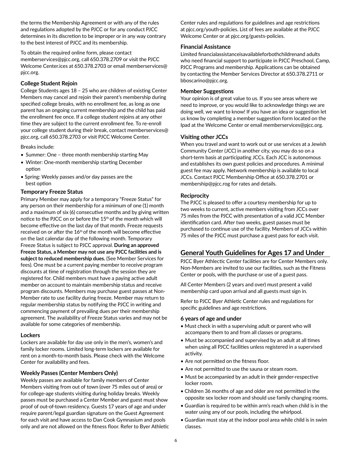the terms the Membership Agreement or with any of the rules and regulations adopted by the PJCC or for any conduct PJCC determines in its discretion to be improper or in any way contrary to the best interest of PJCC and its membership.

To obtain the required online form, please contact memberservices@pjcc.org, call 650.378.2709 or visit the PJCC Welcome Center.ices at 650.378.2703 or email memberservices@ pjcc.org.

#### **College Student Rejoin**

College Students ages 18 – 25 who are children of existing Center Members may cancel and rejoin their parent's membership during specified college breaks, with no enrollment fee, as long as one parent has an ongoing current membership and the child has paid the enrollment fee once. If a college student rejoins at any other time they are subject to the current enrollment fee. To re-enroll your college student during their break, contact memberservices@ pjcc.org, call 650.378.2703 or visit PJCC Welcome Center.

Breaks include:

- Summer: One three month membership starting May
- Winter: One-month membership starting December option
- Spring: Weekly passes and/or day passes are the best option

### **Temporary Freeze Status**

Primary Member may apply for a temporary "Freeze Status" for any person on their membership for a minimum of one (1) month and a maximum of six (6) consecutive months and by giving written notice to the PJCC on or before the 15<sup>th</sup> of the month which will become effective on the last day of that month. Freeze requests received on or after the 16<sup>th</sup> of the month will become effective on the last calendar day of the following month. Temporary Freeze Status is subject to PJCC approval. **During an approved Freeze Status, a Member may not use any PJCC facilities and is subject to reduced membership dues.** (See Member Services for fees). One must be a current paying member to receive program discounts at time of registration through the session they are registered for. Child members must have a paying active adult member on account to maintain membership status and receive program discounts. Members may purchase guest passes at Non-Member rate to use facility during freeze. Member may return to regular membership status by notifying the PJCC in writing and commencing payment of prevailing dues per their membership agreement. The availability of Freeze Status varies and may not be available for some categories of membership.

#### **Lockers**

Lockers are available for day use only in the men's, women's and family locker rooms. Limited long-term lockers are available for rent on a month-to-month basis. Please check with the Welcome Center for availability and fees.

# **Weekly Passes (Center Members Only)**

Weekly passes are available for family members of Center Members visiting from out of town (over 75 miles out of area) or for college-age students visiting during holiday breaks. Weekly passes must be purchased a Center Member and guest must show proof of out-of-town residency. Guests 17 years of age and under require parent/legal guardian signature on the Guest Agreement for each visit and have access to Dan Cook Gymnasium and pools only and are not allowed on the fitness floor. Refer to Byer Athletic Center rules and regulations for guidelines and age restrictions at pjcc.org/youth-policies. List of fees are available at the PJCC Welcome Center or at pjcc.org/guests-policies.

#### **Financial Assistance**

Limited financialassistanceisavailableforbothchildrenand adults who need financial support to participate in PJCC Preschool, Camp, PJCC Programs and membership. Applications can be obtained by contacting the Member Services Director at 650.378.2711 or bboscarino@pjcc.org.

#### **Member Suggestions**

Your opinion is of great value to us. If you see areas where we need to improve, or you would like to acknowledge things we are doing well, we want to know! If you have an idea or suggestion let us know by completing a member suggestion form located on the Ipad at the Welcome Center or email memberservices@pjcc.org.

### **Visiting other JCCs**

When you travel and want to work out or use services at a Jewish Community Center (JCC) in another city, you may do so on a short-term basis at participating JCCs. Each JCC is autonomous and establishes its own guest policies and procedures. A minimal guest fee may apply. Network membership is available to local JCCs. Contact PJCC Membership Office at 650.378.2701 or membership@pjcc.rog for rates and details.

### **Reciprocity**

The PJCC is pleased to offer a courtesy membership for up to two weeks to current, active members visiting from JCCs over 75 miles from the PJCC with presentation of a valid JCC Member identification card. After two weeks, guest passes must be purchased to continue use of the facility. Members of JCCs within 75 miles of the PJCC must purchase a guest pass for each visit.

# **General Youth Guidelines for Ages 17 and Under**

PJCC Byer Athlectic Center facilities are for Center Members only. Non-Members are invited to use our facilities, such as the Fitness Center or pools, with the purchase or use of a guest pass.

All Center Members (2 years and over) must present a valid membership card upon arrival and all guests must sign in.

Refer to PJCC Byer Athletic Center rules and regulations for specific guidelines and age restrictions.

#### **6 years of age and under**

- Must check in with a supervising adult or parent who will accompany them to and from all classes or programs.
- Must be accompanied and supervised by an adult at all times when using all PJCC facilities unless registered in a supervised activity.
- Are not permitted on the fitness floor.
- Are not permitted to use the sauna or steam room.
- Must be accompanied by an adult in their gender-respective locker room.
- Children 36 months of age and older are not permitted in the opposite sex locker room and should use family changing rooms.
- Guardian is required to be within arm's reach when child is in the water using any of our pools, including the whirlpool.
- Guardian must stay at the indoor pool area while child is in swim classes.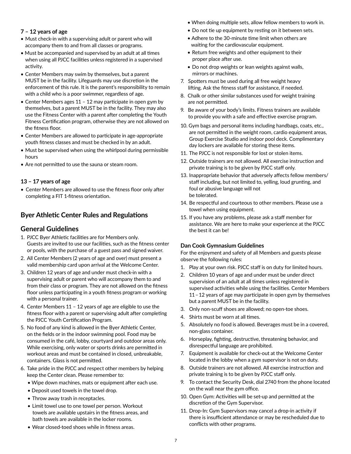### **7 – 12 years of age**

- Must check-in with a supervising adult or parent who will accompany them to and from all classes or programs.
- Must be accompanied and supervised by an adult at all times when using all PJCC facilities unless registered in a supervised activity.
- Center Members may swim by themselves, but a parent MUST be in the facility. Lifeguards may use discretion in the enforcement of this rule. It is the parent's responsibility to remain with a child who is a poor swimmer, regardless of age.
- Center Members ages 11 12 may participate in open gym by themselves, but a parent MUST be in the facility. They may also use the Fitness Center with a parent after completing the Youth Fitness Certification program, otherwise they are not allowed on the fitness floor.
- Center Members are allowed to participate in age-appropriate youth fitness classes and must be checked in by an adult.
- Must be supervised when using the whirlpool during permissible hours
- Are not permitted to use the sauna or steam room.

### **13 – 17 years of age**

• Center Members are allowed to use the fitness floor only after completing a FIT 1-fitness orientation.

# **Byer Athletic Center Rules and Regulations**

# **General Guidelines**

- 1. PJCC Byer Athletic facilities are for Members only. Guests are invited to use our facilities, such as the fitness center or pools, with the purchase of a guest pass and signed waiver.
- 2. All Center Members (2 years of age and over) must present a valid membership card upon arrival at the Welcome Center.
- 3. Children 12 years of age and under must check-in with a supervising adult or parent who will accompany them to and from their class or program. They are not allowed on the fitness floor unless participating in a youth fitness program or working with a personal trainer.
- 4. Center Members 11 12 years of age are eligible to use the fitness floor with a parent or supervising adult after completing the PJCC Youth Certification Program.
- 5. No food of any kind is allowed in the Byer Athletic Center, on the fields or in the indoor swimming pool. Food may be consumed in the café, lobby, courtyard and outdoor areas only. While exercising, only water or sports drinks are permitted in workout areas and must be contained in closed, unbreakable, containers. Glass is not permitted.
- 6. Take pride in the PJCC and respect other members by helping keep the Center clean. Please remember to:
	- Wipe down machines, mats or equipment after each use.
	- Deposit used towels in the towel drop.
	- Throw away trash in receptacles.
	- Limit towel use to one towel per person. Workout towels are available upstairs in the fitness areas, and bath towels are available in the locker rooms.
	- Wear closed-toed shoes while in fitness areas.
- When doing multiple sets, allow fellow members to work in.
- Do not tie up equipment by resting on it between sets.
- Adhere to the 30-minute time limit when others are waiting for the cardiovascular equipment.
- Return free weights and other equipment to their proper place after use.
- Do not drop weights or lean weights against walls, mirrors or machines.
- 7. Spotters must be used during all free weight heavy lifting. Ask the fitness staff for assistance, if needed.
- 8.  Chalk or other similar substances used for weight training are not permitted.
- 9. Be aware of your body's limits. Fitness trainers are available to provide you with a safe and effective exercise program.
- 10. Gym bags and personal items including handbags, coats, etc., are not permitted in the weight room, cardio equipment areas, Group Exercise Studio and indoor pool deck. Complimentary day lockers are available for storing these items.
- 11. The PJCC is not responsible for lost or stolen items.
- 12. Outside trainers are not allowed. All exercise instruction and private training is to be given by PJCC staff only.
- 13. Inappropriate behavior that adversely affects fellow members/ staff including, but not limited to, yelling, loud grunting, and foul or abusive language will not be tolerated.
- 14. Be respectful and courteous to other members. Please use a towel when using equipment.
- 15. If you have any problems, please ask a staff member for assistance. We are here to make your experience at the PJCC the best it can be!

#### **Dan Cook Gymnasium Guidelines**

For the enjoyment and safety of all Members and guests please observe the following rules:

- 1. Play at your own risk. PJCC staff is on duty for limited hours.
- 2. Children 10 years of age and under must be under direct supervision of an adult at all times unless registered in supervised activities while using the facilities. Center Members 11 – 12 years of age may participate in open gym by themselves but a parent MUST be in the facility.
- 3. Only non-scuff shoes are allowed; no open-toe shoes.
- 4. Shirts must be worn at all times.
- 5. Absolutely no food is allowed. Beverages must be in a covered, non-glass container.
- 6. Horseplay, fighting, destructive, threatening behavior, and disrespectful language are prohibited.
- 7. Equipment is available for check-out at the Welcome Center located in the lobby when a gym supervisor is not on duty.
- 8. Outside trainers are not allowed. All exercise instruction and private training is to be given by PJCC staff only.
- 9. To contact the Security Desk, dial 2740 from the phone located on the wall near the gym office.
- 10. Open Gym: Activities will be set-up and permitted at the discretion of the Gym Supervisor.
- 11. Drop-In: Gym Supervisors may cancel a drop-in activity if there is insufficient attendance or may be rescheduled due to conflicts with other programs.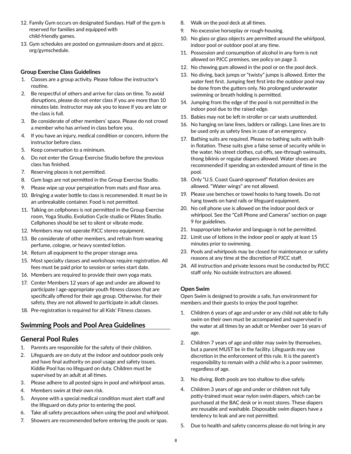- 12. Family Gym occurs on designated Sundays. Half of the gym is reserved for families and equipped with child-friendly games.
- 13. Gym schedules are posted on gymnasium doors and at pjccc. org/gymschedule.

#### **Group Exercise Class Guidelines**

- 1. Classes are a group activity. Please follow the instructor's routine.
- 2. Be respectful of others and arrive for class on time. To avoid disruptions, please do not enter class if you are more than 10 minutes late. Instructor may ask you to leave if you are late or the class is full.
- 3. Be considerate of other members' space. Please do not crowd a member who has arrived in class before you.
- 4. If you have an injury, medical condition or concern, inform the instructor before class.
- 5. Keep conversation to a minimum.
- 6. Do not enter the Group Exercise Studio before the previous class has finished.
- 7. Reserving places is not permitted.
- 8. Gym bags are not permitted in the Group Exercise Studio.
- 9. Please wipe up your perspiration from mats and floor area.
- 10. Bringing a water bottle to class is recommended. It must be in an unbreakable container. Food is not permitted.
- 11. Talking on cellphones is not permitted in the Group Exercise room, Yoga Studio, Evolution Cycle studio or Pilates Studio. Cellphones should be set to silent or vibrate mode.
- 12. Members may not operate PJCC stereo equipment.
- 13. Be considerate of other members, and refrain from wearing perfume, cologne, or heavy scented lotion.
- 14. Return all equipment to the proper storage area.
- 15. Most specialty classes and workshops require registration. All fees must be paid prior to session or series start date.
- 16. Members are required to provide their own yoga mats.
- 17. Center Members 12 years of age and under are allowed to participate I age-appropriate youth fitness classes that are specifically offered for their age group. Otherwise, for their safety, they are not allowed to participate in adult classes.
- 18. Pre-registration is required for all Kids' Fitness classes.

# **Swimming Pools and Pool Area Guidelines**

# **General Pool Rules**

- 1. Parents are responsible for the safety of their children.
- 2. Lifeguards are on duty at the indoor and outdoor pools only and have final authority on pool usage and safety issues. Kiddie Pool has no lifeguard on duty. Children must be supervised by an adult at all times.
- 3. Please adhere to all posted signs in pool and whirlpool areas.
- 4. Members swim at their own risk.
- 5. Anyone with a special medical condition must alert staff and the lifeguard on duty prior to entering the pool.
- 6. Take all safety precautions when using the pool and whirlpool.
- 7. Showers are recommended before entering the pools or spas.
- 8. Walk on the pool deck at all times.
- 9. No excessive horseplay or rough-housing.
- 10. No glass or glass objects are permitted around the whirlpool, indoor pool or outdoor pool at any time.
- 11. Possession and consumption of alcohol in any form is not allowed on PJCC premises, see policy on page 3.
- 12. No chewing gum allowed in the pool or on the pool deck.
- 13. No diving, back jumps or "twisty" jumps is allowed. Enter the water feet first. Jumping feet first into the outdoor pool may be done from the gutters only. No prolonged underwater swimming or breath holding is permitted.
- 14. Jumping from the edge of the pool is not permitted in the indoor pool due to the raised edge.
- 15. Babies may not be left in stroller or car seats unattended.
- 16. No hanging on lane lines, ladders or railings. Lane lines are to be used only as safety lines in case of an emergency.
- 17. Bathing suits are required. Please no bathing suits with builtin flotation. These suits give a false sense of security while in the water. No street clothes, cut-offs, see-through swimsuits, thong bikinis or regular diapers allowed. Water shoes are recommended if spending an extended amount of time in the pool.
- 18. Only "U.S. Coast Guard-approved" flotation devices are allowed. "Water wings" are not allowed.
- 19. Please use benches or towel hooks to hang towels. Do not hang towels on hand rails or lifeguard equipment.
- 20. No cell phone use is allowed on the indoor pool deck or whirlpool. See the "Cell Phone and Cameras" section on page 9 for guidelines.
- 21. Inappropriate behavior and language is not be permitted.
- 22. Limit use of lotions in the indoor pool or apply at least 15 minutes prior to swimming.
- 23. Pools and whirlpools may be closed for maintenance or safety reasons at any time at the discretion of PJCC staff.
- 24. All instruction and private lessons must be conducted by PJCC staff only. No outside instructors are allowed.

#### **Open Swim**

Open Swim is designed to provide a safe, fun environment for members and their guests to enjoy the pool together.

- 1. Children 6 years of age and under or any child not able to fully swim on their own must be accompanied and supervised in the water at all times by an adult or Member over 16 years of age.
- 2. Children 7 years of age and older may swim by themselves, but a parent MUST be in the facility. Lifeguards may use discretion in the enforcement of this rule. It is the parent's responsibility to remain with a child who is a poor swimmer, regardless of age.
- 3. No diving. Both pools are too shallow to dive safely.
- 4. Children 3 years of age and under or children not fully potty-trained must wear nylon swim diapers, which can be purchased at the BAC desk or in most stores. These diapers are reusable and washable. Disposable swim diapers have a tendency to leak and are not permitted.
- 5. Due to health and safety concerns please do not bring in any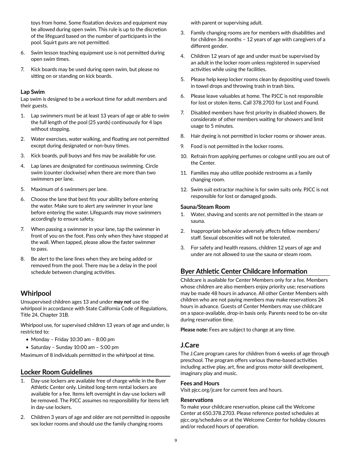toys from home. Some floatation devices and equipment may be allowed during open swim. This rule is up to the discretion of the lifeguard based on the number of participants in the pool. Squirt guns are not permitted.

- 6. Swim lesson teaching equipment use is not permitted during open swim times.
- 7. Kick boards may be used during open swim, but please no sitting on or standing on kick boards.

#### **Lap Swim**

Lap swim is designed to be a workout time for adult members and their guests.

- 1. Lap swimmers must be at least 13 years of age or able to swim the full length of the pool (25 yards) continuously for 4 laps without stopping.
- 2. Water exercises, water walking, and floating are not permitted except during designated or non-busy times.
- 3. Kick boards, pull buoys and fins may be available for use.
- 4. Lap lanes are designated for continuous swimming. Circle swim (counter clockwise) when there are more than two swimmers per lane.
- 5. Maximum of 6 swimmers per lane.
- 6. Choose the lane that best fits your ability before entering the water. Make sure to alert any swimmer in your lane before entering the water. Lifeguards may move swimmers accordingly to ensure safety.
- 7. When passing a swimmer in your lane, tap the swimmer in front of you on the foot. Pass only when they have stopped at the wall. When tapped, please allow the faster swimmer to pass.
- 8. Be alert to the lane lines when they are being added or removed from the pool. There may be a delay in the pool schedule between changing activities.

# **Whirlpool**

Unsupervised children ages 13 and under *may not* use the whirlpool in accordance with State California Code of Regulations, Title 24, Chapter 31B.

Whirlpool use, for supervised children 13 years of age and under, is restricted to:

- Monday Friday 10:30 am 8:00 pm
- Saturday Sunday 10:00 am 5:00 pm

Maximum of 8 individuals permitted in the whirlpool at time.

# **Locker Room Guidelines**

- 1. Day-use lockers are available free of charge while in the Byer Athletic Center only. Limited long-term rental lockers are available for a fee. Items left overnight in day-use lockers will be removed. The PJCC assumes no responsibility for items left in day-use lockers.
- 2. Children 3 years of age and older are not permitted in opposite sex locker rooms and should use the family changing rooms

with parent or supervising adult.

- 3. Family changing rooms are for members with disabilities and for children 36 months – 12 years of age with caregivers of a different gender.
- 4. Children 12 years of age and under must be supervised by an adult in the locker room unless registered in supervised activities while using the facilities.
- 5. Please help keep locker rooms clean by depositing used towels in towel drops and throwing trash in trash bins.
- 6. Please leave valuables at home. The PJCC is not responsible for lost or stolen items. Call 378.2703 for Lost and Found.
- 7. Disabled members have first priority in disabled showers. Be considerate of other members waiting for showers and limit usage to 5 minutes.
- 8. Hair dyeing is not permitted in locker rooms or shower areas.
- 9. Food is not permitted in the locker rooms.
- 10. Refrain from applying perfumes or cologne until you are out of the Center.
- 11. Families may also utilize poolside restrooms as a family changing room.
- 12. Swim suit extractor machine is for swim suits only. PJCC is not responsible for lost or damaged goods.

#### **Sauna/Steam Room**

- 1. Water, shaving and scents are not permitted in the steam or sauna.
- 2. Inappropriate behavior adversely affects fellow members/ staff. Sexual obscenities will not be tolerated.
- 3. For safety and health reasons, children 12 years of age and under are not allowed to use the sauna or steam room.

# **Byer Athletic Center Childcare Information**

Childcare is available for Center Members only for a fee. Members whose children are also members enjoy priority use; reservations may be made 48 hours in advance. All other Center Members with children who are not paying members may make reservations 24 hours in advance. Guests of Center Members may use childcare on a space-available, drop-in basis only. Parents need to be on-site during reservation time.

**Please note:** Fees are subject to change at any time.

# **J.Care**

The J.Care program cares for children from 6 weeks of age through preschool. The program offers various theme-based activities including active play, art, fine and gross motor skill development, imaginary play and music.

#### **Fees and Hours**

Visit pjcc.org/jcare for current fees and hours.

#### **Reservations**

To make your childcare reservation, please call the Welcome Center at 650.378.2703. Please reference posted schedules at pjcc.org/schedules or at the Welcome Center for holiday closures and/or reduced hours of operation.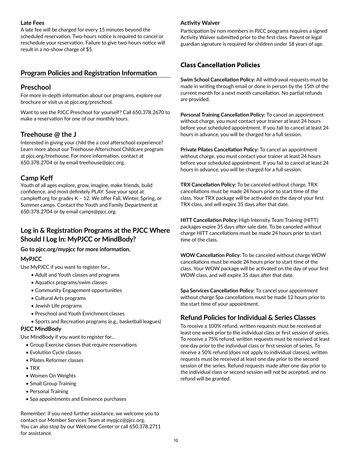#### **Late Fees**

A late fee will be charged for every 15 minutes beyond the scheduled reservation. Two-hours notice is required to cancel or reschedule your reservation. Failure to give two-hours notice will result in a no-show charge of \$5.

# **Program Policies and Registration Information**

# **Preschool**

For more in-depth information about our programs, explore our brochure or visit us at pjcc.org/preschool.

Want to see the PJCC Preschool for yourself? Call 650.378.2670 to make a reservation for one of our monthly tours.

# **Treehouse @ the J**

Interested in giving your child the a cool afterschool experience? Learn more about our Treehouse Afterschool Childcare program at pjcc.org/treehouse. For more information, contact at 650.378.2704 or by email treehouse@pjcc.org.

# **Camp Keff**

Youth of all ages explore, grow, imagine, make friends, build confidence, and most definitely PLAY. Save your spot at campkeff.org for grades K – 12. We offer Fall, Winter, Spring, or Summer camps. Contact the Youth and Family Department at 650.378.2704 or by email camps@pjcc.org.

# **Log in & Registration Programs at the PJCC Where Should I Log In: MyPJCC or MindBody?**

# **Go to pjcc.org/mypjcc for more information.**

# **MyPJCC**

Use MyPJCC if you want to register for...

- Adult and Youth classes and programs
- Aquatics programs/swim classes
- Community Engagement opportunities
- Cultural Arts programs
- Jewish Life programs
- Preschool and Youth Enrichment classes
- Sports and Recreation programs (e.g., basketball leagues)

# **PJCC MindBody**

Use MindBody if you want to register for...

- Group Exercise classes that require reservations
- Evolution Cycle classes
- Pilates Reformer classes
- TRX
- Women On Weights
- Small Group Training
- Personal Training
- Spa appointments and Eminence purchases

Remember: if you need further assistance, we welcome you to contact our Member Services Team at mypjcc@pjcc.org. You can also stop by our Welcome Center or call 650.378.2711 for assistance.

## **Activity Waiver**

Participation by non-members in PJCC programs requires a signed Activity Waiver submitted prior to the first class. Parent or legal guardian signature is required for children under 18 years of age.

# **Class Cancellation Policies**

**Swim School Cancellation Policy:** All withdrawal requests must be made in writing through email or done in person by the 15th of the current month for a next month cancellation. No partial refunds are provided.

**Personal Training Cancellation Policy:** To cancel an appointment without charge, you must contact your trainer at least 24 hours before your scheduled appointment. If you fail to cancel at least 24 hours in advance, you will be charged for a full session.

**Private Pilates Cancellation Policy:** To cancel an appointment without charge, you must contact your trainer at least 24 hours before your scheduled appointment. If you fail to cancel at least 24 hours in advance, you will be charged for a full session.

**TRX Cancellation Policy:** To be canceled without charge, TRX cancellations must be made 24 hours prior to start time of the class. Your TRX package will be activated on the day of your first TRX class, and will expire 35 days after that date.

**HITT Cancellation Policy:** High Intensity Team Training (HITT) packages expire 35 days after sale date. To be canceled without charge HITT cancellations must be made 24 hours prior to start time of the class.

**WOW Cancellation Policy:** To be canceled without charge WOW cancellations must be made 24 hours prior to start time of the class. Your WOW package will be activated on the day of your first WOW class, and will expire 35 days after that date.

**Spa Services Cancellation Policy:** To cancel your appointment without charge Spa cancellations must be made 12 hours prior to the start time of your appointment.

# **Refund Policies for Individual & Series Classes**

To receive a 100% refund, written requests must be received at least one week prior to the individual class or first session of series. To receive a 75% refund, written requests must be received at least one day prior to the individual class or first session of series. To receive a 50% refund (does not apply to individual classes), written requests must be received at least one day prior to the second session of the series. Refund requests made after one day prior to the individual class or second session will not be accepted, and no refund will be granted.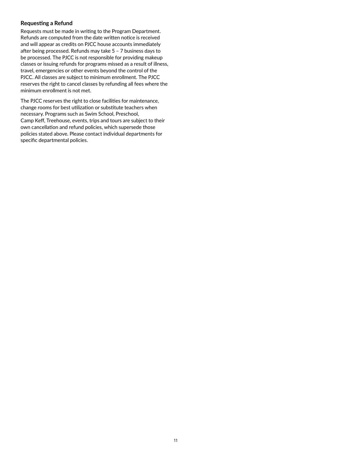## **Requesting a Refund**

Requests must be made in writing to the Program Department. Refunds are computed from the date written notice is received and will appear as credits on PJCC house accounts immediately after being processed. Refunds may take 5 – 7 business days to be processed. The PJCC is not responsible for providing makeup classes or issuing refunds for programs missed as a result of illness, travel, emergencies or other events beyond the control of the PJCC. All classes are subject to minimum enrollment. The PJCC reserves the right to cancel classes by refunding all fees where the minimum enrollment is not met.

The PJCC reserves the right to close facilities for maintenance, change rooms for best utilization or substitute teachers when necessary. Programs such as Swim School, Preschool, Camp Keff, Treehouse, events, trips and tours are subject to their own cancellation and refund policies, which supersede those policies stated above. Please contact individual departments for specific departmental policies.